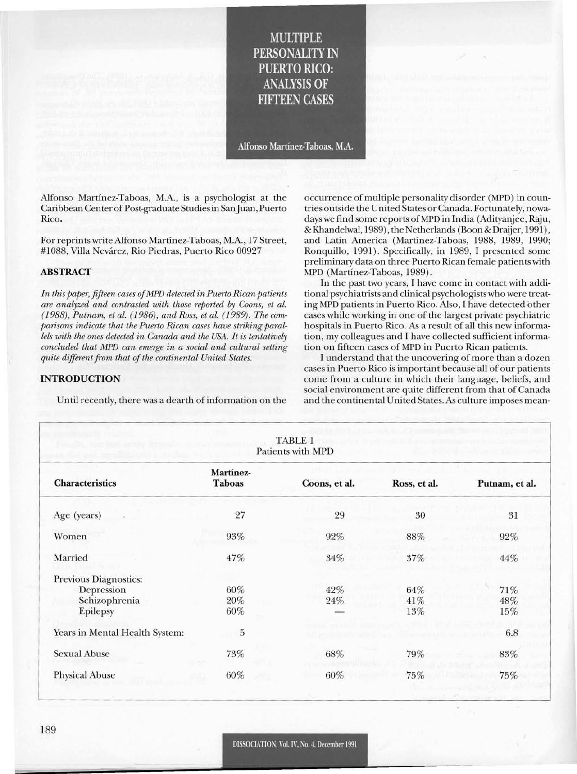# MULTIPLE PERSONALITY IN PUERTO RICO: ANALYSIS OF FIFTEEN CASES

Alfonso Martinez-Taboas, M.A.

Alfonso Martinez-Taboas, M.A., is a psychologist at the Caribbean Center of Post-graduate Studiesin SanJuan, Puerto Rico.

For reprints write Alfonso Martinez-Taboas, M.A., 17 Street, #1088, Villa Nevarez, Rio Piedras, Puerto Rico 00927

# ABSTRACT

*In this paper, fifteen cases ofMPD detected in Puerto Rican patients are analyzed and contrasted with those reported by Coons, et al. (1988), Putnam, et al.* (1986), *and Ross, et al.* (1989). *The comparisons indicate that the Puerto Rican cases have striking parallels with the ones detected in Canada and the USA.* It is *tentatively concluded that MPD can emerge in a social and cultural setting*  $q$ uite *different from that of the continental United States.* 

# INTRODUCTION

Until recently, there was a dearth of information on the

occurrence of multiple personality disorder (MPD) in countries outside the United States or Canada. Fortunately, nowadays we find some reports of MPD in India (Adityanjee, Raju, & Khandelwal, 1989), the Netherlands (Boon & Draijer, 1991), and Latin America (Martinez-Taboas, 1988, 1989, 1990; Ronquillo, 1991). Specifically, in 1989, I presented some preliminary data on three Puerto Rican female patients with MPD (Martinez-Taboas, 1989).

In the past two years, I have come in contact with additional psychiatrists and clinical psychologists who were treating MPD patients in Puerto Rico. Also, I have detected other cases while working in one of the largest private psychiatric hospitals in Puerto Rico. As a result of all this new information, my colleagues and I have collected sufficient information on fifteen cases of MPD in Puerto Rican patients.

I understand that the uncovering of more than a dozen cases in Puerto Rico is important because all of our patients come from a culture in which their language, beliefs, and social environment are quite different from that of Canada and the continental United States. As culture imposes mean-

|                                | <b>TABLE 1</b><br>Patients with MPD |               |              |                |
|--------------------------------|-------------------------------------|---------------|--------------|----------------|
| <b>Characteristics</b>         | Martínez-<br><b>Taboas</b>          | Coons, et al. | Ross, et al. | Putnam, et al. |
| Age (years)                    | 27                                  | 29            | 30           | 31             |
| Women                          | $93\%$                              | 92%           | 88%          | 92%            |
| Married                        | 47%                                 | $34\%$        | 37%          | 44%            |
| Previous Diagnostics:          |                                     |               |              |                |
| Depression                     | 60%                                 | 42%           | 64%          | $71\%$         |
| Schizophrenia                  | $20\%$                              | 24%           | 41%          | 48%            |
| Epilepsy                       | 60%                                 |               | 13%          | 15%            |
| Years in Mental Health System: | $\bf 5$                             |               |              | 6.8            |
| <b>Sexual Abuse</b>            | 73%                                 | 68%           | 79%          | 83%            |
| <b>Physical Abuse</b>          | 60%                                 | 60%           | 75%          | 75%            |
|                                |                                     |               |              |                |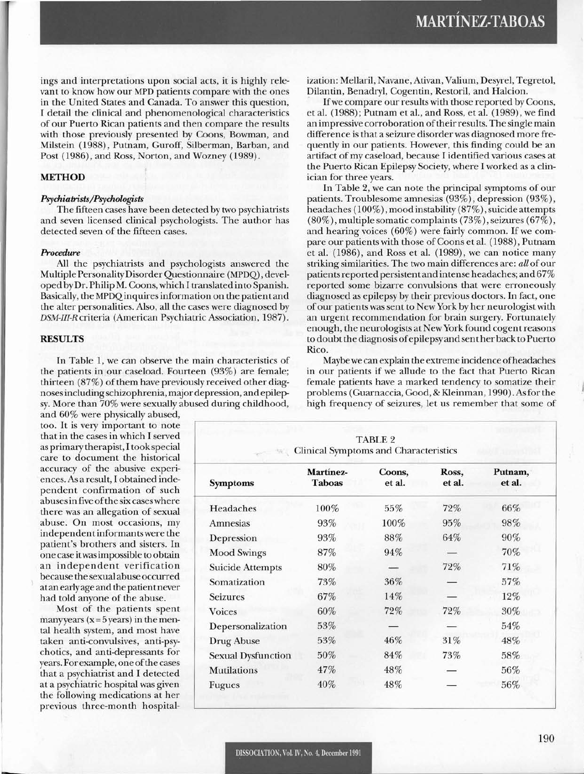ings and interpretations upon social acts, it is highly relevant to know how our MPD patients compare with the ones in the United States and Canada. To answer this question, I detail the clinical and phenomenological characteristics of our Puerto Rican patients and then compare the results with those previously presented by Coons, Bowman, and Milstein (1988), Putnam, Curoff, Silberman, Barban, and Post (1986), and Ross, Norton, and Wozney (1989).

# **METHOD**

### *Psychiatrists/Psychologists*

The fifteen cases have been detected by two psychiatrists and seven licensed clinical psychologists. The author has detected seven of the fifteen cases.

#### *Procedure*

All the psychiatrists and psychologists answered the Multiple PersonalityDisorder Questionnaire (MPDQ) , developed byDr. Philip M. Coons, which I translated into Spanish. Basically, the MPDQinquires information on the patient and the alter personalities. Also, all the cases were diagnosed by *DSM-III-R* criteria (American Psychiatric Association, 1987).

# **RESULTS**

In Table 1, we can observe the main characteristics of the patients in our caseload. Fourteen (93%) are female; thirteen  $(87%)$  of them have previously received other diagnosesincluding schizophrenia, major depression, and epilepsy. More than 70% were sexually abused during childhood,

and 60% were physically abused, too. It is very important to note that in the cases in which I served as primary therapist, I took special care to document the historical accuracy of the abusive experiences. As a result, I obtained independent confirmation of such abusesin five ofthe six caseswhere there was an allegation of sexual abuse. On most occasions, my independentinformantswere the patient's brothers and sisters. In one case itwasimpossible to obtain an independent verification because the sexual abuse occurred atan early age and the patientnever had told anyone of the abuse.

Most of the patients spent manyyears ( $x = 5$  years) in the mental health system, and most have taken anti-convulsives, anti-psychotics, and anti-depressants for years. For example, one of the cases that a psychiatrist and I detected at a psychiatric hospital was given the following medications at her previous three-month hospitalization: Mellaril, Navane, Ativan, Valium, Desyrel, Tegretol, Dilantin, Benadryl, Cogentin, Restoril, and Halcion.

If we compare our results with those reported by Coons, et aI. (1988); Putnam et aI., and Ross, et aI. (1989), we find an impressive corroboration oftheirresults. The single main difference is that a seizure disorder was diagnosed more frequently in our patients. However, this finding could be an artifact of my caseload, because I identified various cases at the Puerto Rican Epilepsy Society, where I worked as a clinician for three years.

In Table 2, we can note the principal symptoms of our patients. Troublesome amnesias (93%), depression (93%), headaches (100%), mood instability (87%), suicide attempts (80%), multiple somatic complaints (73%), seizures (67%), and hearing voices  $(60\%)$  were fairly common. If we compare our patients with those of Coons et al. (1988), Putnam et aI. (1986), and Ross et aI. (1989), we can notice many striking similarities. The two main differences are: all of our patientsreported persistent and intense headaches; and 67% reported some bizarre convulsions that were erroneously diagnosed as epilepsy by their previous doctors. In fact, one ofour patients was sent to New York by her neurologist with an urgent recommendation for brain surgery. Fortunately enough, the neurologists at New York found cogent reasons to doubt the diagnosis ofepilepsy and sent her back to Puerto Rico.

Maybewe can explain the extreme incidence ofheadaches in our patients if we allude to the fact that Puerto Rican female patients have a marked tendency to somatize their problems (Cuarnaccia, Cood, & Kleinman, 1990). Asfor the high frequency of seizures, let us remember that some of

| <b>TABLE 2</b><br><b>Clinical Symptoms and Characteristics</b> |                            |                  |                 |                   |  |  |  |
|----------------------------------------------------------------|----------------------------|------------------|-----------------|-------------------|--|--|--|
| <b>Symptoms</b>                                                | Martínez-<br><b>Taboas</b> | Coons,<br>et al. | Ross,<br>et al. | Putnam,<br>et al. |  |  |  |
| Headaches                                                      | 100%                       | 55%              | 72%             | 66%               |  |  |  |
| Amnesias                                                       | 93%                        | 100%             | 95%             | 98%               |  |  |  |
| Depression                                                     | 93%                        | 88%              | 64%             | 90%               |  |  |  |
| <b>Mood Swings</b>                                             | 87%                        | 94%              |                 | 70%               |  |  |  |
| <b>Suicide Attempts</b>                                        | 80%                        |                  | 72%             | 71%               |  |  |  |
| Somatization                                                   | 73%                        | 36%              |                 | $57\%$            |  |  |  |
| <b>Seizures</b>                                                | 67%                        | 14%              |                 | 12%               |  |  |  |
| <b>Voices</b>                                                  | 60%                        | 72%              | 72%             | 30%               |  |  |  |
| Depersonalization                                              | 53%                        |                  |                 | 54%               |  |  |  |
| Drug Abuse                                                     | 53%                        | 46%              | 31%             | 48%               |  |  |  |
| <b>Sexual Dysfunction</b>                                      | 50%                        | 84%              | 73%             | 58%               |  |  |  |
| <b>Mutilations</b>                                             | 47%                        | 48%              |                 | 56%               |  |  |  |
| Fugues                                                         | 40%                        | 48%              |                 | 56%               |  |  |  |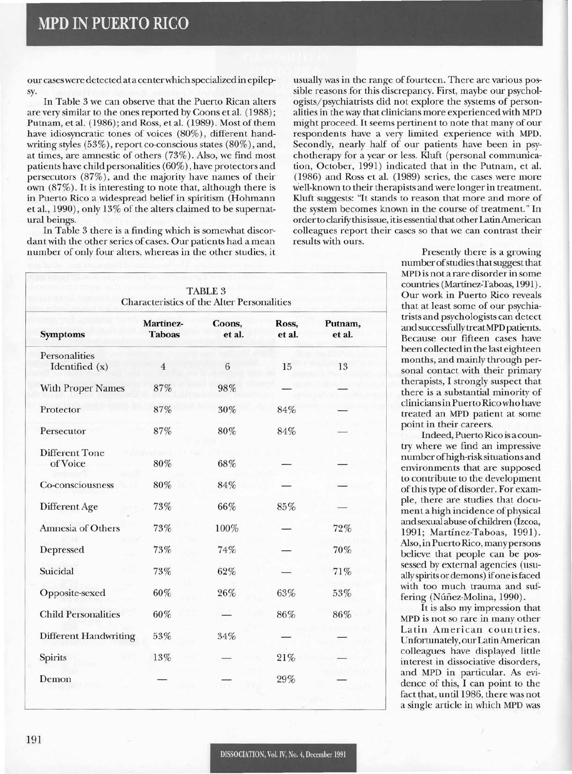our caseswere detected ata centerwhich specializedin epilepsy.

In Table 3 we can observe that the Puerto Rican alters are very similar to the ones reported by Coons et a!. (1988); Putnam, et al. (1986); and Ross, et al. (1989). Most of them have idiosyncratic tones of voices (80%), different handwriting styles (53%), report co-conscious states (80%), and, at times, are amnestic of others (73%). Also, we find most patients have child personalities (60%), have protectors and persecutors (87%), and the majority have names of their own (87%). It is interesting to note that, although there is in Puerto Rico a widespread belief in spiritism (Hohmann et al., 1990), only 13% of the alters claimed to be supernatural beings.

In Table 3 there is a finding which is somewhat discordant with the other series of cases. Our patients had a mean number of only four alters, whereas in the other studies, it

usually was in the range of fourteen. There are various possible reasons for this discrepancy. First, maybe our psychologists/psychiatrists did not explore the systems of personalities in the way that clinicians more experienced with MPD might proceed. It seems pertinent to note that many of our respondents have a very limited experience with MPD. Secondly, nearly half of our patients have been in psychotherapy for a year or less. Kluft (personal communication, October, 1991) indicated that in the Putnam, et al. (1986) and Ross et a!. (1989) series, the cases were more well-known to their therapists and were longer in treatment. Kluft suggests: "It stands to reason that more and more of the system becomes known in the course of treatment." In order to clarify this issue, it is essential that other Latin American colleagues report their cases so that we can contrast their results with ours.

| <b>TABLE 3</b><br>Characteristics of the Alter Personalities |                            |                  |                 |                   |  |  |
|--------------------------------------------------------------|----------------------------|------------------|-----------------|-------------------|--|--|
| <b>Symptoms</b>                                              | Martínez-<br><b>Taboas</b> | Coons,<br>et al. | Ross,<br>et al. | Putnam,<br>et al. |  |  |
| Personalities<br>Identified (x)                              | $\overline{4}$             | 6                | 15              | 13                |  |  |
| <b>With Proper Names</b>                                     | 87%                        | 98%              |                 |                   |  |  |
| Protector                                                    | 87%                        | 30%              | 84%             |                   |  |  |
| Persecutor                                                   | 87%                        | 80%              | 84%             |                   |  |  |
| <b>Different Tone</b><br>of Voice                            | 80%                        | 68%              |                 |                   |  |  |
| Co-consciousness                                             | 80%                        | 84%              |                 |                   |  |  |
| Different Age                                                | 73%                        | 66%              | 85%             |                   |  |  |
| Amnesia of Others                                            | 73%                        | 100%             |                 | 72%               |  |  |
| Depressed                                                    | 73%                        | 74%              |                 | 70%               |  |  |
| Suicidal                                                     | 73%                        | 62%              |                 | 71%               |  |  |
| Opposite-sexed                                               | 60%                        | 26%              | 63%             | 53%               |  |  |
| <b>Child Personalities</b>                                   | 60%                        |                  | 86%             | 86%               |  |  |
| <b>Different Handwriting</b>                                 | 53%                        | 34%              |                 |                   |  |  |
| Spirits                                                      | 13%                        |                  | 21%             |                   |  |  |
| Demon                                                        |                            |                  | 29%             |                   |  |  |

Presently there is a growing numberofstudiesthatsuggest that MPD is not a rare disorder in some countries (Martinez-Taboas, 1991). Our work in Puerto Rico reveals that at least some of our psychiatrists and psychologists can detect and successfully treatMPD patients. Because our fifteen cases have been collected in the last eighteen months, and mainly through personal contact with their primary therapists, I strongly suspect that there is a substantial minority of cliniciansin Puerto Rico who have treated an MPD patient at some point in their careers.

Indeed, Puerto Rico is a country where we find an impressive number ofhigh-risk situations and environments that are supposed to contribute to the development of this type of disorder. For example, there are studies that document a high incidence of physical and sexual abuse of children (Izcoa, 1991; Martinez-Taboas, 1991). Also, in Puerto Rico, many persons believe that people can be possessed by external agencies (usuallyspirits ordemons) ifone isfaced with too much trauma and suffering (Núñez-Molina, 1990).

It is also my impression that MPD is not so rare in many other Latin American countries. Unfortunately, ourLatinAmerican colleagues have displayed little interest in dissociative disorders, and MPD in particular. As evidence of this, I can point to the fact that, until 1986, there was not a single article in which MPD was